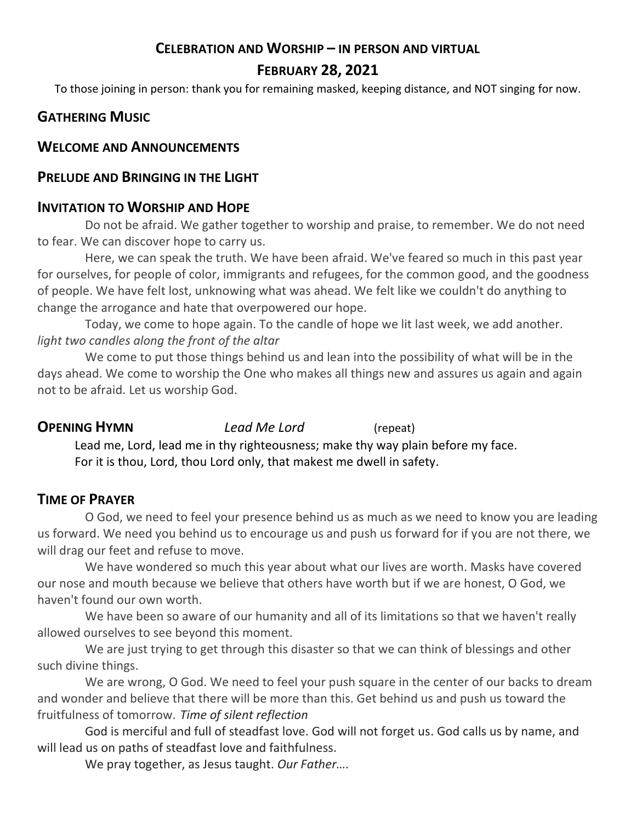# **CELEBRATION AND WORSHIP – IN PERSON AND VIRTUAL**

# **FEBRUARY 28, 2021**

To those joining in person: thank you for remaining masked, keeping distance, and NOT singing for now.

# **GATHERING MUSIC**

### **WELCOME AND ANNOUNCEMENTS**

### **PRELUDE AND BRINGING IN THE LIGHT**

# **INVITATION TO WORSHIP AND HOPE**

Do not be afraid. We gather together to worship and praise, to remember. We do not need to fear. We can discover hope to carry us.

Here, we can speak the truth. We have been afraid. We've feared so much in this past year for ourselves, for people of color, immigrants and refugees, for the common good, and the goodness of people. We have felt lost, unknowing what was ahead. We felt like we couldn't do anything to change the arrogance and hate that overpowered our hope.

Today, we come to hope again. To the candle of hope we lit last week, we add another. *light two candles along the front of the altar*

We come to put those things behind us and lean into the possibility of what will be in the days ahead. We come to worship the One who makes all things new and assures us again and again not to be afraid. Let us worship God.

**OPENING HYMN** *Lead Me Lord* (repeat)

Lead me, Lord, lead me in thy righteousness; make thy way plain before my face. For it is thou, Lord, thou Lord only, that makest me dwell in safety.

# **TIME OF PRAYER**

O God, we need to feel your presence behind us as much as we need to know you are leading us forward. We need you behind us to encourage us and push us forward for if you are not there, we will drag our feet and refuse to move.

We have wondered so much this year about what our lives are worth. Masks have covered our nose and mouth because we believe that others have worth but if we are honest, O God, we haven't found our own worth.

We have been so aware of our humanity and all of its limitations so that we haven't really allowed ourselves to see beyond this moment.

We are just trying to get through this disaster so that we can think of blessings and other such divine things.

We are wrong, O God. We need to feel your push square in the center of our backs to dream and wonder and believe that there will be more than this. Get behind us and push us toward the fruitfulness of tomorrow. *Time of silent reflection*

God is merciful and full of steadfast love. God will not forget us. God calls us by name, and will lead us on paths of steadfast love and faithfulness.

We pray together, as Jesus taught. *Our Father….*